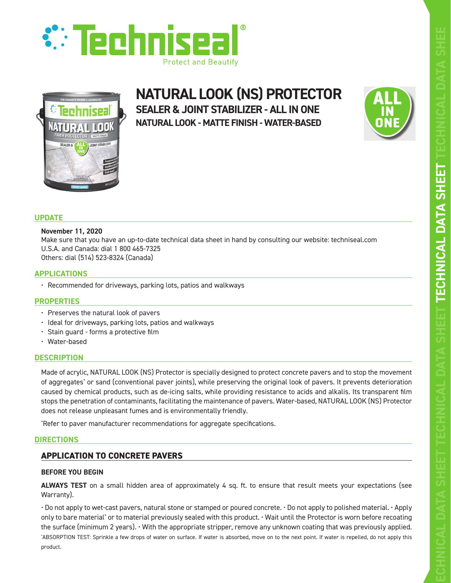



**NATURAL LOOK (NS) PROTECTOR SEALER & JOINT STABILIZER - ALL IN ONE NATURAL LOOK - MATTE FINISH - WATER-BASED**



## **UPDATE**

## **November 11, 2020**

Make sure that you have an up-to-date technical data sheet in hand by consulting our website: techniseal.com U.S.A. and Canada: dial 1 800 465-7325 Others: dial (514) 523-8324 (Canada)

## **APPLICATIONS**

• Recommended for driveways, parking lots, patios and walkways

### **PROPERTIES**

- Preserves the natural look of pavers
- Ideal for driveways, parking lots, patios and walkways
- Stain guard forms a protective film
- Water-based

### **DESCRIPTION**

Made of acrylic, NATURAL LOOK (NS) Protector is specially designed to protect concrete pavers and to stop the movement of aggregates\* or sand (conventional paver joints), while preserving the original look of pavers. It prevents deterioration caused by chemical products, such as de-icing salts, while providing resistance to acids and alkalis. Its transparent film stops the penetration of contaminants, facilitating the maintenance of pavers. Water-based, NATURAL LOOK (NS) Protector does not release unpleasant fumes and is environmentally friendly.

\* Refer to paver manufacturer recommendations for aggregate specifications.

### **DIRECTIONS**

# **APPLICATION TO CONCRETE PAVERS**

### **BEFORE YOU BEGIN**

**ALWAYS TEST** on a small hidden area of approximately 4 sq. ft. to ensure that result meets your expectations (see Warranty).

• Do not apply to wet-cast pavers, natural stone or stamped or poured concrete. • Do not apply to polished material. • Apply only to bare material\* or to material previously sealed with this product. • Wait until the Protector is worn before recoating the surface (minimum 2 years). • With the appropriate stripper, remove any unknown coating that was previously applied. \* ABSORPTION TEST: Sprinkle a few drops of water on surface. If water is absorbed, move on to the next point. If water is repelled, do not apply this product.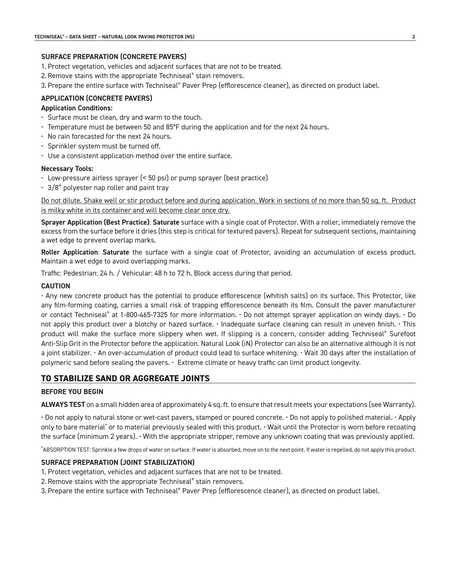## **SURFACE PREPARATION (CONCRETE PAVERS)**

- 1. Protect vegetation, vehicles and adjacent surfaces that are not to be treated.
- 2. Remove stains with the appropriate Techniseal® stain removers.
- 3. Prepare the entire surface with Techniseal® Paver Prep (efflorescence cleaner), as directed on product label.

## **APPLICATION (CONCRETE PAVERS)**

## **Application Conditions:**

- Surface must be clean, dry and warm to the touch.
- Temperature must be between 50 and 85°F during the application and for the next 24 hours.
- No rain forecasted for the next 24 hours.
- Sprinkler system must be turned off.
- Use a consistent application method over the entire surface.

## **Necessary Tools:**

- Low-pressure airless sprayer (< 50 psi) or pump sprayer (best practice)
- 3/8" polyester nap roller and paint tray

Do not dilute. Shake well or stir product before and during application. Work in sections of no more than 50 sq. ft. Product is milky white in its container and will become clear once dry.

**Sprayer Application (Best Practice)**: **Saturate** surface with a single coat of Protector. With a roller, immediately remove the excess from the surface before it dries (this step is critical for textured pavers). Repeat for subsequent sections, maintaining a wet edge to prevent overlap marks.

**Roller Application**: **Saturate** the surface with a single coat of Protector, avoiding an accumulation of excess product. Maintain a wet edge to avoid overlapping marks.

Traffic: Pedestrian: 24 h. / Vehicular: 48 h to 72 h. Block access during that period.

## **CAUTION**

• Any new concrete product has the potential to produce efflorescence (whitish salts) on its surface. This Protector, like any film-forming coating, carries a small risk of trapping efflorescence beneath its film. Consult the paver manufacturer or contact Techniseal® at 1-800-465-7325 for more information. • Do not attempt sprayer application on windy days. • Do not apply this product over a blotchy or hazed surface. • Inadequate surface cleaning can result in uneven finish. • This product will make the surface more slippery when wet. If slipping is a concern, consider adding Techniseal® Surefoot Anti-Slip Grit in the Protector before the application. Natural Look (iN) Protector can also be an alternative although it is not a joint stabilizer. • An over-accumulation of product could lead to surface whitening. • Wait 30 days after the installation of polymeric sand before sealing the pavers. • Extreme climate or heavy traffic can limit product longevity.

# **TO STABILIZE SAND OR AGGREGATE JOINTS**

## **BEFORE YOU BEGIN**

**ALWAYS TEST** on a small hidden area of approximately 4 sq. ft. to ensure that result meets your expectations (see Warranty).

• Do not apply to natural stone or wet-cast pavers, stamped or poured concrete. • Do not apply to polished material. • Apply only to bare material" or to material previously sealed with this product. • Wait until the Protector is worn before recoating the surface (minimum 2 years). • With the appropriate stripper, remove any unknown coating that was previously applied.

\* ABSORPTION TEST: Sprinkle a few drops of water on surface. If water is absorbed, move on to the next point. If water is repelled, do not apply this product.

## **SURFACE PREPARATION (JOINT STABILIZATION)**

- 1. Protect vegetation, vehicles and adjacent surfaces that are not to be treated.
- 2. Remove stains with the appropriate Techniseal® stain removers.
- 3. Prepare the entire surface with Techniseal® Paver Prep (efflorescence cleaner), as directed on product label.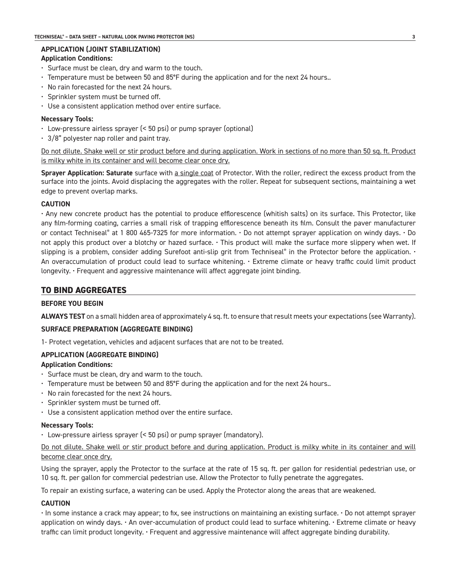# **APPLICATION (JOINT STABILIZATION)**

## **Application Conditions:**

- Surface must be clean, dry and warm to the touch.
- Temperature must be between 50 and 85°F during the application and for the next 24 hours..
- No rain forecasted for the next 24 hours.
- Sprinkler system must be turned off.
- Use a consistent application method over entire surface.

## **Necessary Tools:**

- Low-pressure airless sprayer (< 50 psi) or pump sprayer (optional)
- $\cdot$  3/8" polyester nap roller and paint tray.

Do not dilute. Shake well or stir product before and during application. Work in sections of no more than 50 sq. ft. Product is milky white in its container and will become clear once dry.

**Sprayer Application: Saturate** surface with a single coat of Protector. With the roller, redirect the excess product from the surface into the joints. Avoid displacing the aggregates with the roller. Repeat for subsequent sections, maintaining a wet edge to prevent overlap marks.

## **CAUTION**

• Any new concrete product has the potential to produce efflorescence (whitish salts) on its surface. This Protector, like any film-forming coating, carries a small risk of trapping efflorescence beneath its film. Consult the paver manufacturer or contact Techniseal® at 1 800 465-7325 for more information. • Do not attempt sprayer application on windy days. • Do not apply this product over a blotchy or hazed surface. • This product will make the surface more slippery when wet. If slipping is a problem, consider adding Surefoot anti-slip grit from Techniseal® in the Protector before the application.  $\cdot$ An overaccumulation of product could lead to surface whitening. • Extreme climate or heavy traffic could limit product longevity. • Frequent and aggressive maintenance will affect aggregate joint binding.

# **TO BIND AGGREGATES**

## **BEFORE YOU BEGIN**

**ALWAYS TEST** on a small hidden area of approximately 4 sq. ft. to ensure that result meets your expectations (see Warranty).

## **SURFACE PREPARATION (AGGREGATE BINDING)**

1- Protect vegetation, vehicles and adjacent surfaces that are not to be treated.

## **APPLICATION (AGGREGATE BINDING)**

## **Application Conditions:**

- Surface must be clean, dry and warm to the touch.
- Temperature must be between 50 and 85°F during the application and for the next 24 hours..
- No rain forecasted for the next 24 hours.
- Sprinkler system must be turned off.
- Use a consistent application method over the entire surface.

## **Necessary Tools:**

• Low-pressure airless sprayer (< 50 psi) or pump sprayer (mandatory).

Do not dilute. Shake well or stir product before and during application. Product is milky white in its container and will become clear once dry.

Using the sprayer, apply the Protector to the surface at the rate of 15 sq. ft. per gallon for residential pedestrian use, or 10 sq. ft. per gallon for commercial pedestrian use. Allow the Protector to fully penetrate the aggregates.

To repair an existing surface, a watering can be used. Apply the Protector along the areas that are weakened.

# **CAUTION**

 $\cdot$  In some instance a crack may appear; to fix, see instructions on maintaining an existing surface.  $\cdot$  Do not attempt sprayer application on windy days. • An over-accumulation of product could lead to surface whitening. • Extreme climate or heavy traffic can limit product longevity. • Frequent and aggressive maintenance will affect aggregate binding durability.